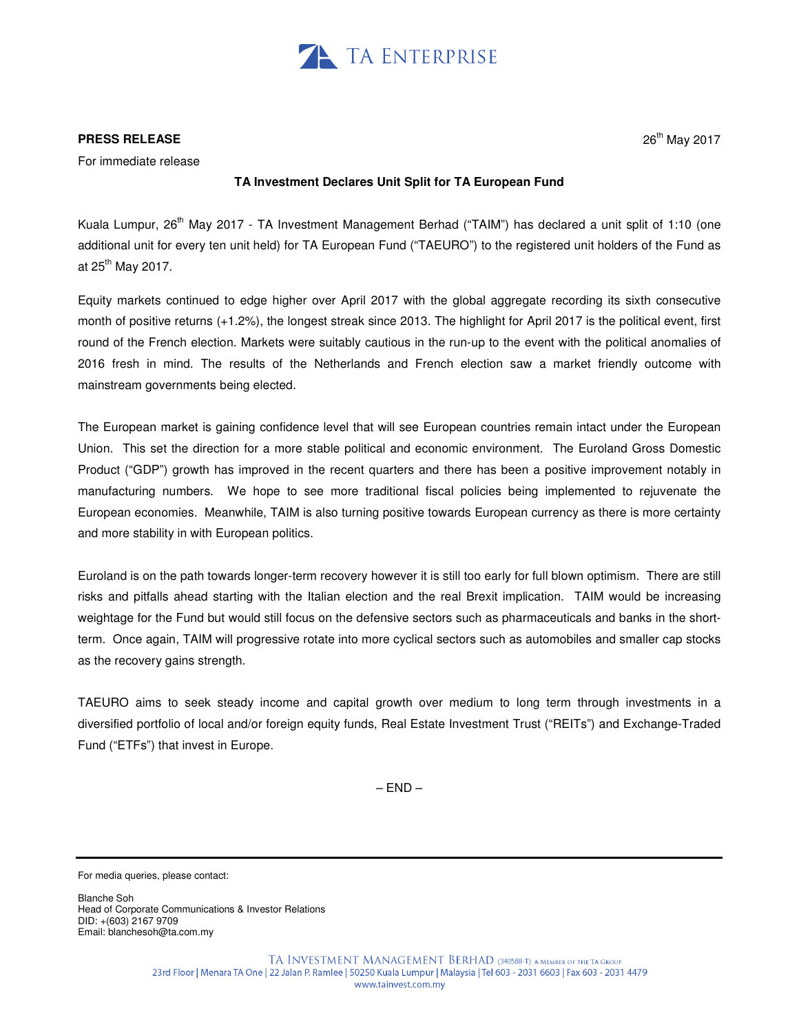

## **PRESS RELEASE**

For immediate release

## **TA Investment Declares Unit Split for TA European Fund**

Kuala Lumpur, 26<sup>th</sup> May 2017 - TA Investment Management Berhad ("TAIM") has declared a unit split of 1:10 (one additional unit for every ten unit held) for TA European Fund ("TAEURO") to the registered unit holders of the Fund as at  $25<sup>th</sup>$  May 2017.

Equity markets continued to edge higher over April 2017 with the global aggregate recording its sixth consecutive month of positive returns (+1.2%), the longest streak since 2013. The highlight for April 2017 is the political event, first round of the French election. Markets were suitably cautious in the run-up to the event with the political anomalies of 2016 fresh in mind. The results of the Netherlands and French election saw a market friendly outcome with mainstream governments being elected.

The European market is gaining confidence level that will see European countries remain intact under the European Union. This set the direction for a more stable political and economic environment. The Euroland Gross Domestic Product ("GDP") growth has improved in the recent quarters and there has been a positive improvement notably in manufacturing numbers. We hope to see more traditional fiscal policies being implemented to rejuvenate the European economies. Meanwhile, TAIM is also turning positive towards European currency as there is more certainty and more stability in with European politics.

Euroland is on the path towards longer-term recovery however it is still too early for full blown optimism. There are still risks and pitfalls ahead starting with the Italian election and the real Brexit implication. TAIM would be increasing weightage for the Fund but would still focus on the defensive sectors such as pharmaceuticals and banks in the shortterm. Once again, TAIM will progressive rotate into more cyclical sectors such as automobiles and smaller cap stocks as the recovery gains strength.

TAEURO aims to seek steady income and capital growth over medium to long term through investments in a diversified portfolio of local and/or foreign equity funds, Real Estate Investment Trust ("REITs") and Exchange-Traded Fund ("ETFs") that invest in Europe.

 $-$  END  $-$ 

For media queries, please contact:

Blanche Soh Head of Corporate Communications & Investor Relations DID: +(603) 2167 9709 Email: blanchesoh@ta.com.my